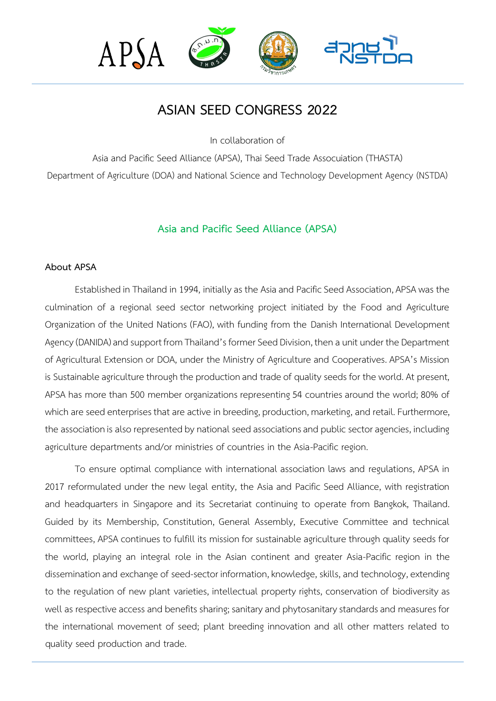

# **ASIAN SEED CONGRESS 2022**

In collaboration of

Asia and Pacific Seed Alliance (APSA), Thai Seed Trade Assocuiation (THASTA) Department of Agriculture (DOA) and National Science and Technology Development Agency (NSTDA)

# **Asia and Pacific Seed Alliance (APSA)**

#### **About APSA**

Established in Thailand in 1994, initially as the Asia and Pacific Seed Association, APSA was the culmination of a regional seed sector networking project initiated by the Food and Agriculture Organization of the United Nations (FAO), with funding from the Danish International Development Agency (DANIDA) and support from Thailand's former Seed Division, then a unit under the Department of Agricultural Extension or DOA, under the Ministry of Agriculture and Cooperatives. APSA's Mission is Sustainable agriculture through the production and trade of quality seeds for the world. At present, APSA has more than 500 member organizations representing 54 countries around the world; 80% of which are seed enterprises that are active in breeding, production, marketing, and retail. Furthermore, the association is also represented by national seed associations and public sector agencies, including agriculture departments and/or ministries of countries in the Asia-Pacific region.

To ensure optimal compliance with international association laws and regulations, APSA in 2017 reformulated under the new legal entity, the Asia and Pacific Seed Alliance, with registration and headquarters in Singapore and its Secretariat continuing to operate from Bangkok, Thailand. Guided by its Membership, Constitution, General Assembly, Executive Committee and technical committees, APSA continues to fulfill its mission for sustainable agriculture through quality seeds for the world, playing an integral role in the Asian continent and greater Asia-Pacific region in the dissemination and exchange of seed-sector information, knowledge, skills, and technology, extending to the regulation of new plant varieties, intellectual property rights, conservation of biodiversity as well as respective access and benefits sharing; sanitary and phytosanitary standards and measures for the international movement of seed; plant breeding innovation and all other matters related to quality seed production and trade.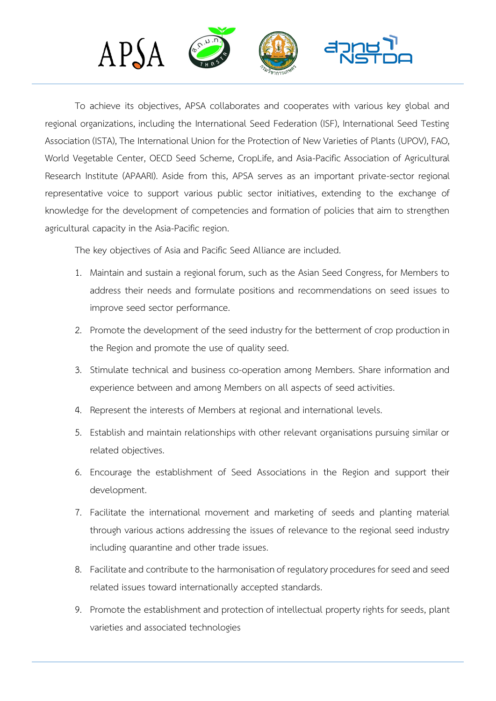

To achieve its objectives, APSA collaborates and cooperates with various key global and regional organizations, including the International Seed Federation (ISF), International Seed Testing Association (ISTA), The International Union for the Protection of New Varieties of Plants (UPOV), FAO, World Vegetable Center, OECD Seed Scheme, CropLife, and Asia-Pacific Association of Agricultural Research Institute (APAARI). Aside from this, APSA serves as an important private-sector regional representative voice to support various public sector initiatives, extending to the exchange of knowledge for the development of competencies and formation of policies that aim to strengthen agricultural capacity in the Asia-Pacific region.

The key objectives of Asia and Pacific Seed Alliance are included.

- 1. Maintain and sustain a regional forum, such as the Asian Seed Congress, for Members to address their needs and formulate positions and recommendations on seed issues to improve seed sector performance.
- 2. Promote the development of the seed industry for the betterment of crop production in the Region and promote the use of quality seed.
- 3. Stimulate technical and business co-operation among Members. Share information and experience between and among Members on all aspects of seed activities.
- 4. Represent the interests of Members at regional and international levels.
- 5. Establish and maintain relationships with other relevant organisations pursuing similar or related objectives.
- 6. Encourage the establishment of Seed Associations in the Region and support their development.
- 7. Facilitate the international movement and marketing of seeds and planting material through various actions addressing the issues of relevance to the regional seed industry including quarantine and other trade issues.
- 8. Facilitate and contribute to the harmonisation of regulatory procedures for seed and seed related issues toward internationally accepted standards.
- 9. Promote the establishment and protection of intellectual property rights for seeds, plant varieties and associated technologies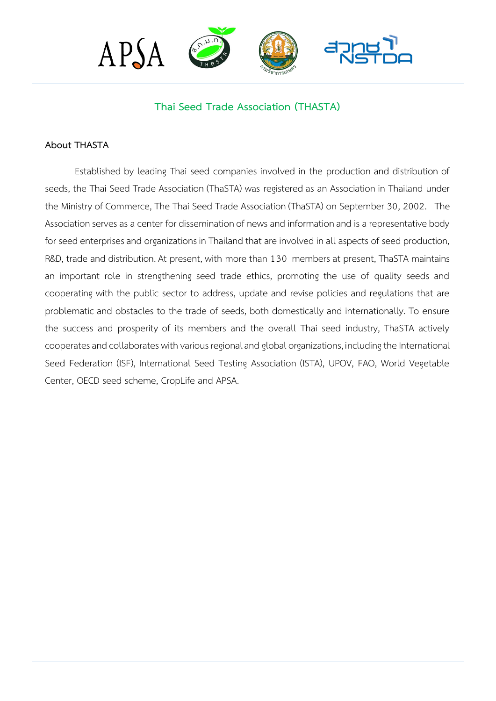

# **Thai Seed Trade Association (THASTA)**

#### **About THASTA**

Established by leading Thai seed companies involved in the production and distribution of seeds, the Thai Seed Trade Association (ThaSTA) was registered as an Association in Thailand under the Ministry of Commerce, The Thai Seed Trade Association (ThaSTA) on September 30, 2002. The Association serves as a center for dissemination of news and information and is a representative body for seed enterprises and organizations in Thailand that are involved in all aspects of seed production, R&D, trade and distribution. At present, with more than 130 members at present, ThaSTA maintains an important role in strengthening seed trade ethics, promoting the use of quality seeds and cooperating with the public sector to address, update and revise policies and regulations that are problematic and obstacles to the trade of seeds, both domestically and internationally. To ensure the success and prosperity of its members and the overall Thai seed industry, ThaSTA actively cooperates and collaborates with various regional and global organizations, including the International Seed Federation (ISF), International Seed Testing Association (ISTA), UPOV, FAO, World Vegetable Center, OECD seed scheme, CropLife and APSA.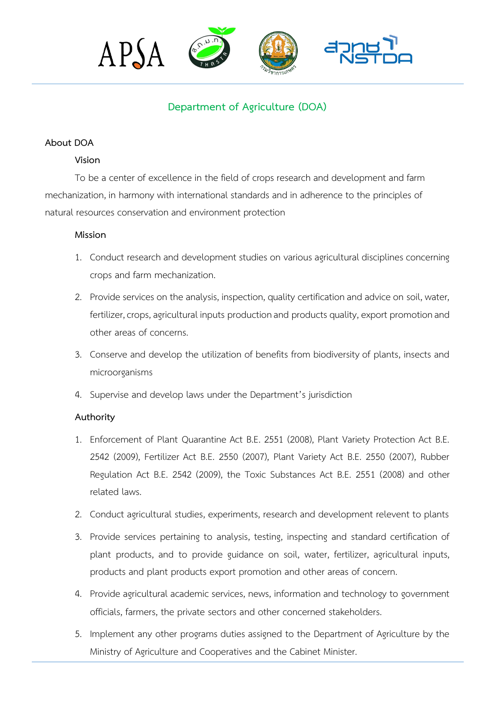

# **Department of Agriculture (DOA)**

# **About DOA**

## **Vision**

To be a center of excellence in the field of crops research and development and farm mechanization, in harmony with international standards and in adherence to the principles of natural resources conservation and environment protection

## **Mission**

- 1. Conduct research and development studies on various agricultural disciplines concerning crops and farm mechanization.
- 2. Provide services on the analysis, inspection, quality certification and advice on soil, water, fertilizer, crops, agricultural inputs production and products quality, export promotion and other areas of concerns.
- 3. Conserve and develop the utilization of benefits from biodiversity of plants, insects and microorganisms
- 4. Supervise and develop laws under the Department's jurisdiction

# **Authority**

- 1. Enforcement of Plant Quarantine Act B.E. 2551 (2008), Plant Variety Protection Act B.E. 2542 (2009), Fertilizer Act B.E. 2550 (2007), Plant Variety Act B.E. 2550 (2007), Rubber Regulation Act B.E. 2542 (2009), the Toxic Substances Act B.E. 2551 (2008) and other related laws.
- 2. Conduct agricultural studies, experiments, research and development relevent to plants
- 3. Provide services pertaining to analysis, testing, inspecting and standard certification of plant products, and to provide guidance on soil, water, fertilizer, agricultural inputs, products and plant products export promotion and other areas of concern.
- 4. Provide agricultural academic services, news, information and technology to government officials, farmers, the private sectors and other concerned stakeholders.
- 5. Implement any other programs duties assigned to the Department of Agriculture by the Ministry of Agriculture and Cooperatives and the Cabinet Minister.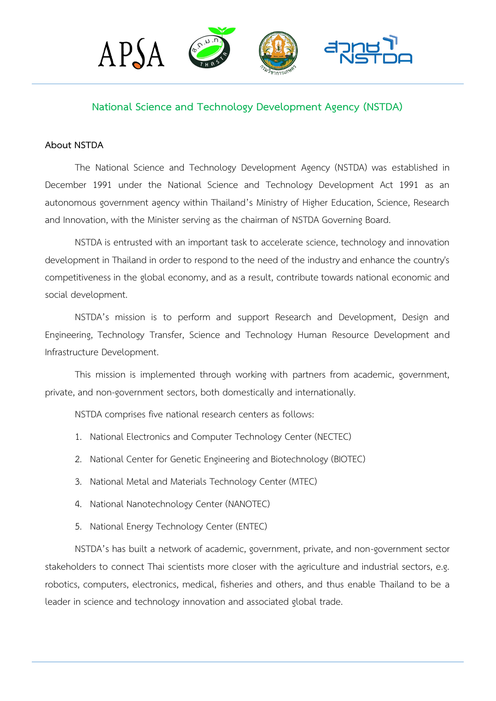

# **National Science and Technology Development Agency (NSTDA)**

## **About NSTDA**

The National Science and Technology Development Agency (NSTDA) was established in December 1991 under the National Science and Technology Development Act 1991 as an autonomous government agency within Thailand's Ministry of Higher Education, Science, Research and Innovation, with the Minister serving as the chairman of NSTDA Governing Board.

NSTDA is entrusted with an important task to accelerate science, technology and innovation development in Thailand in order to respond to the need of the industry and enhance the country's competitiveness in the global economy, and as a result, contribute towards national economic and social development.

NSTDA's mission is to perform and support Research and Development, Design and Engineering, Technology Transfer, Science and Technology Human Resource Development and Infrastructure Development.

This mission is implemented through working with partners from academic, government, private, and non-government sectors, both domestically and internationally.

NSTDA comprises five national research centers as follows:

- 1. National Electronics and Computer Technology Center (NECTEC)
- 2. National Center for Genetic Engineering and Biotechnology (BIOTEC)
- 3. National Metal and Materials Technology Center (MTEC)
- 4. National Nanotechnology Center (NANOTEC)
- 5. National Energy Technology Center (ENTEC)

NSTDA's has built a network of academic, government, private, and non-government sector stakeholders to connect Thai scientists more closer with the agriculture and industrial sectors, e.g. robotics, computers, electronics, medical, fisheries and others, and thus enable Thailand to be a leader in science and technology innovation and associated global trade.